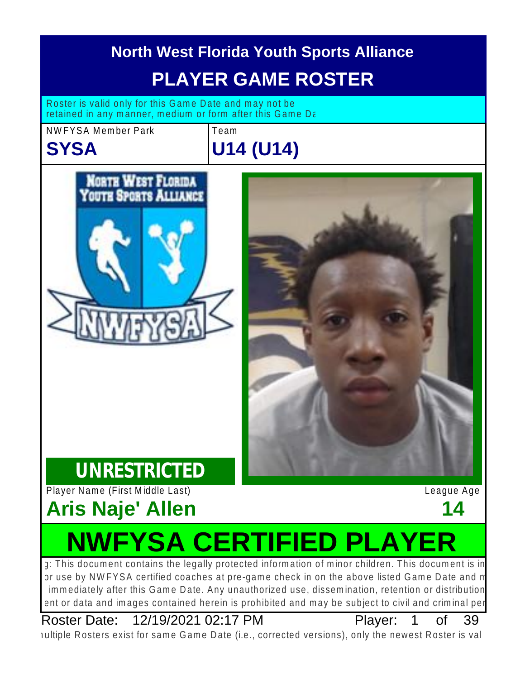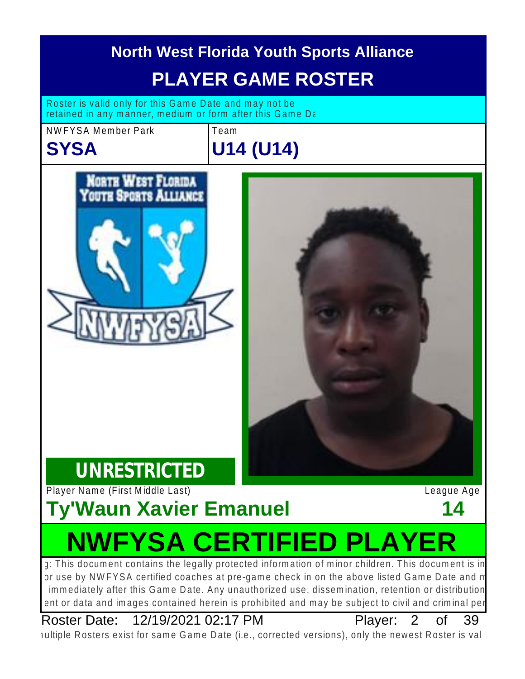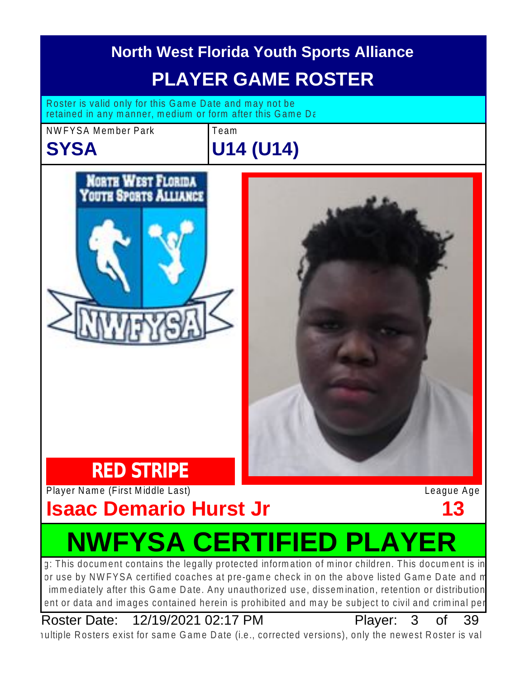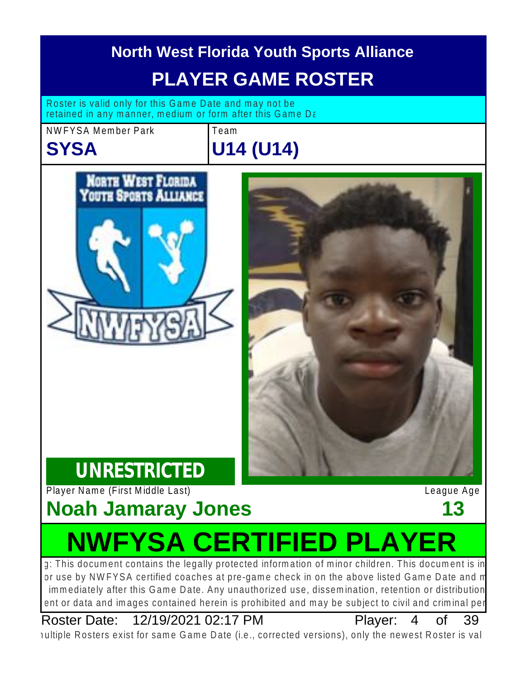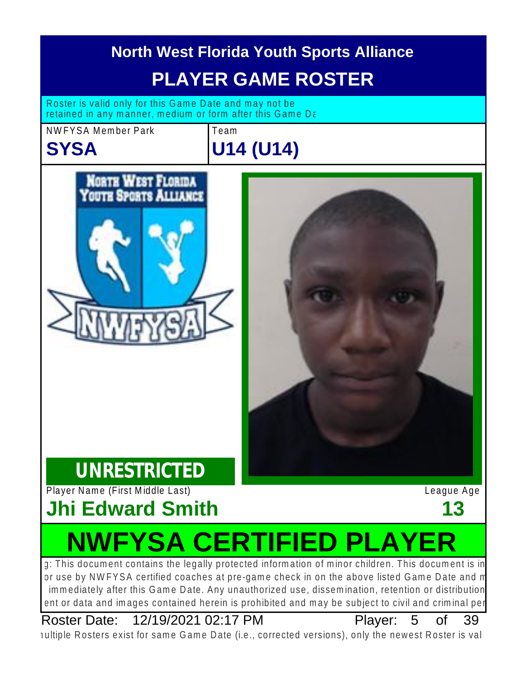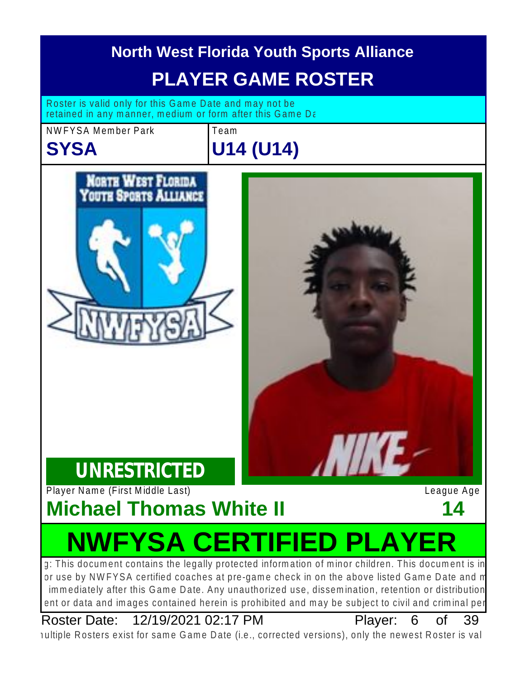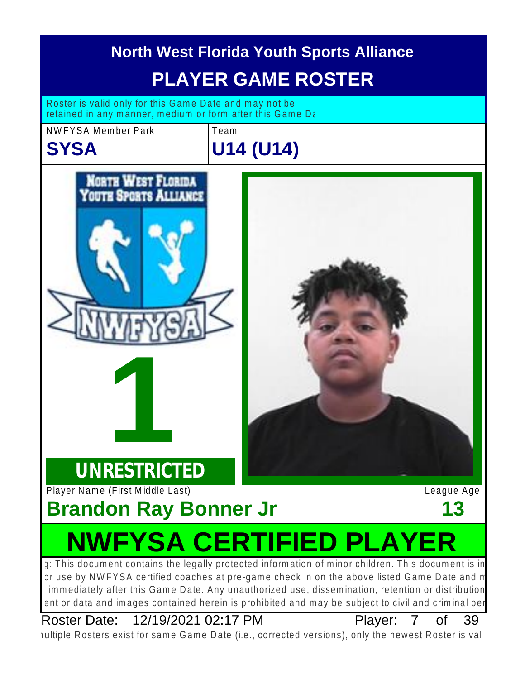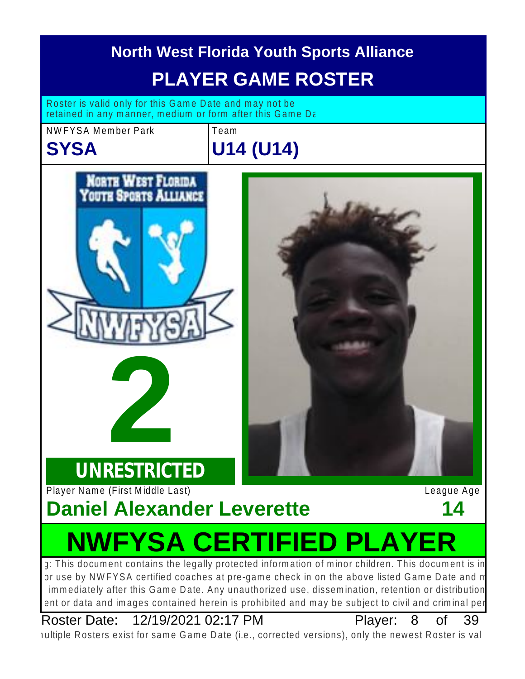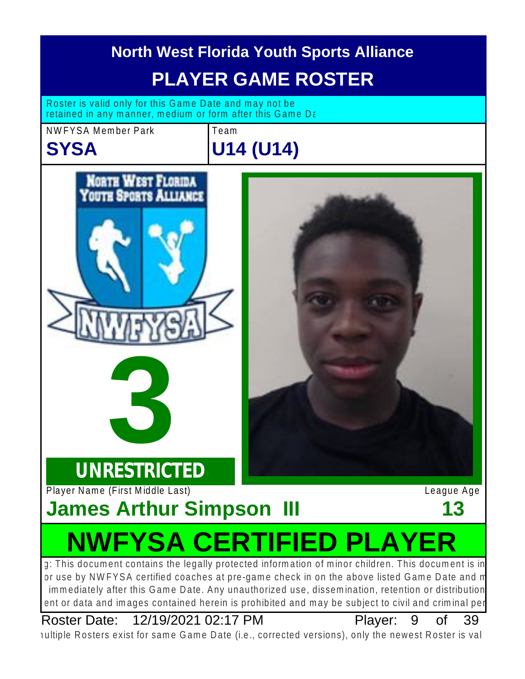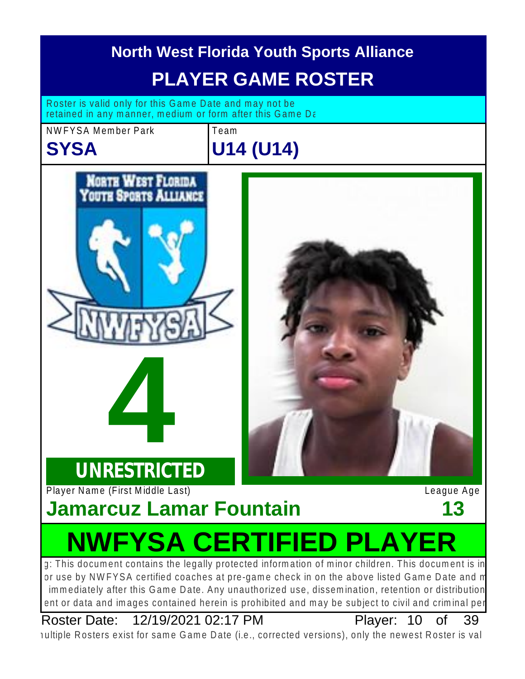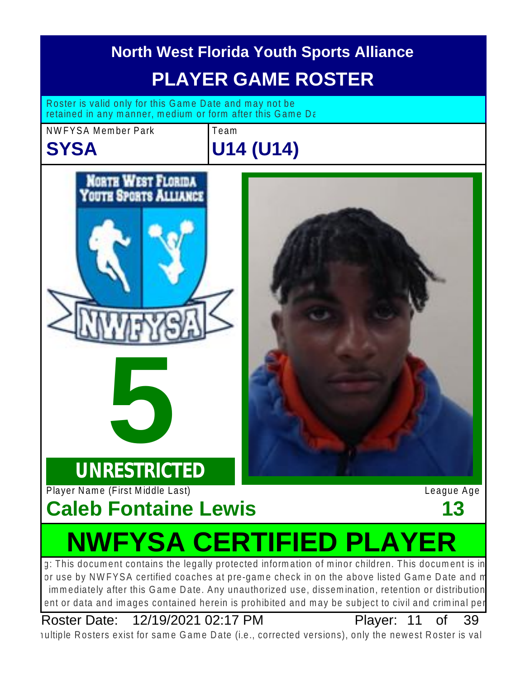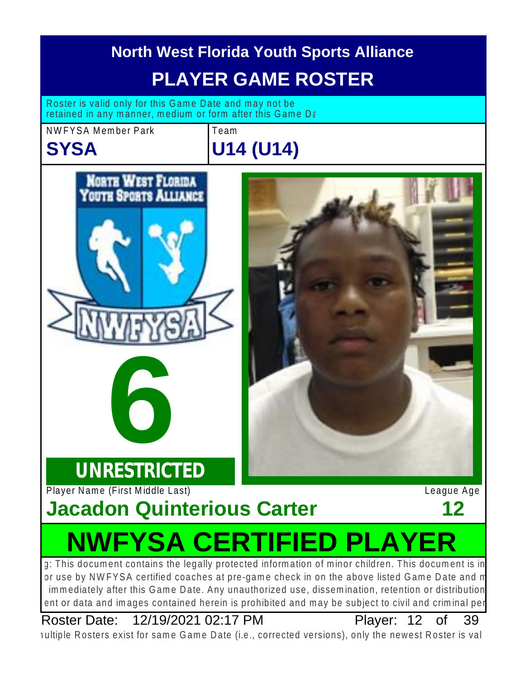

Roster Date: 12/19/2021 02:17 PM Player: 12 of 39

Plaver: 12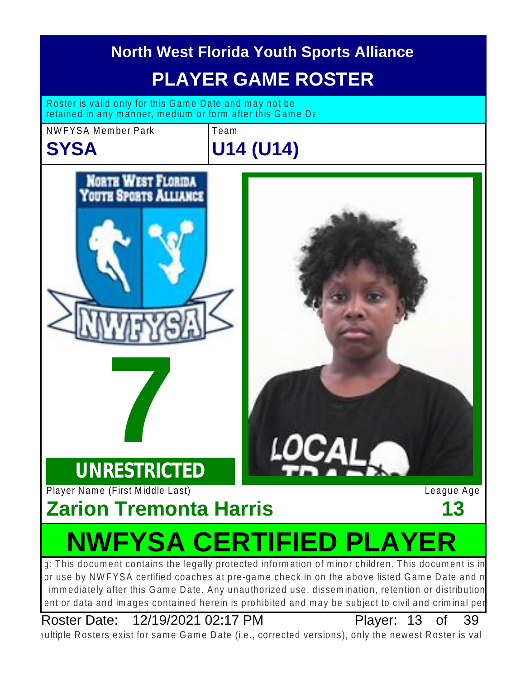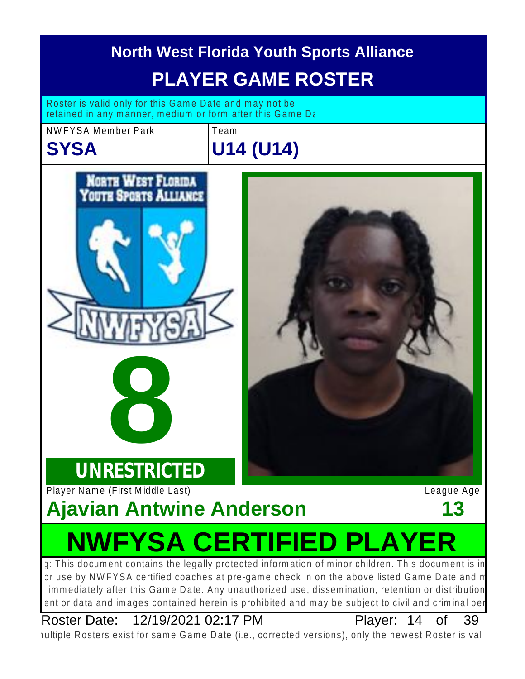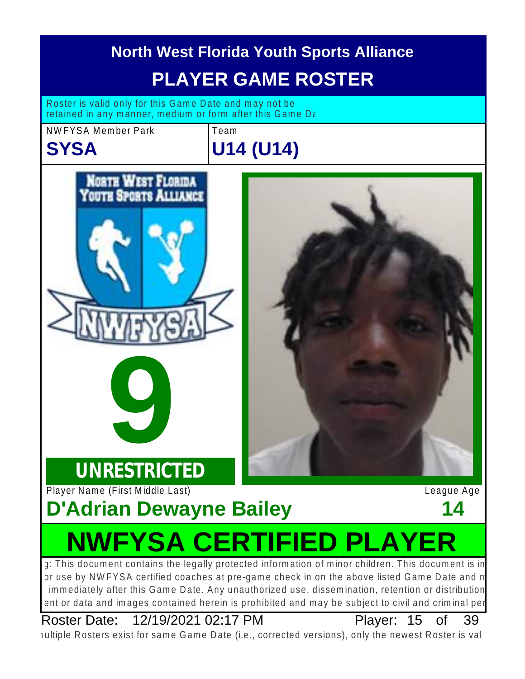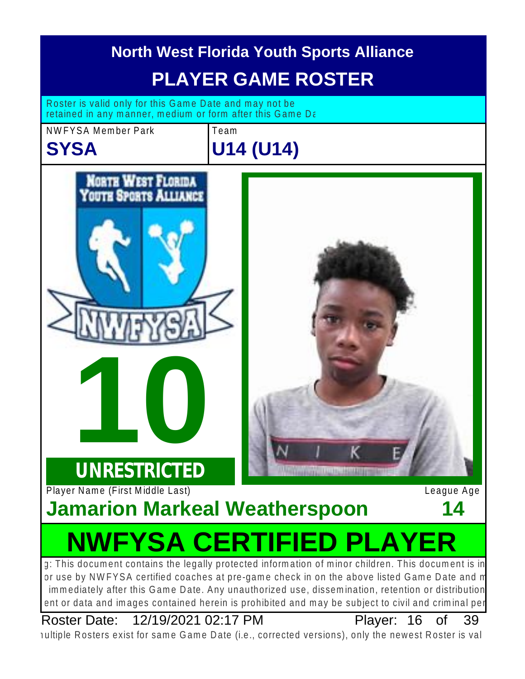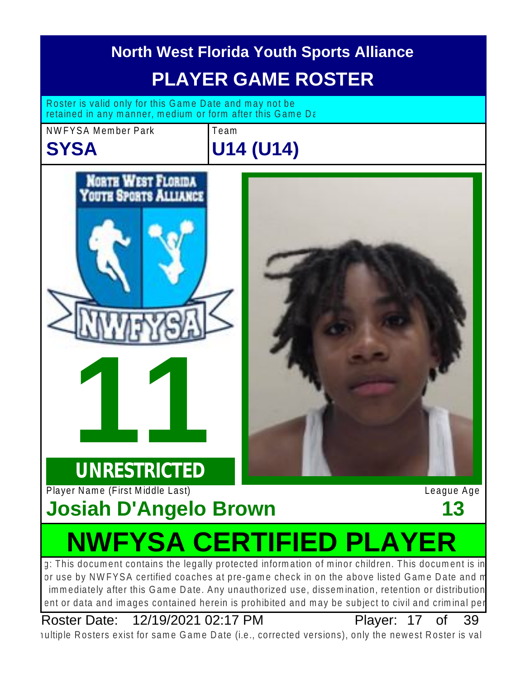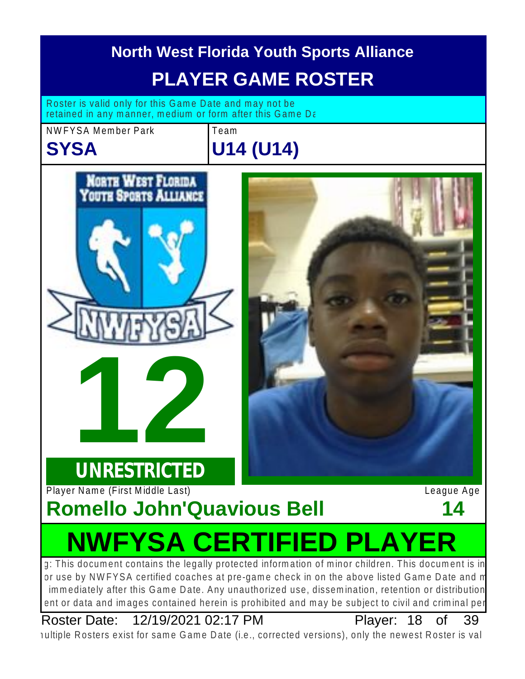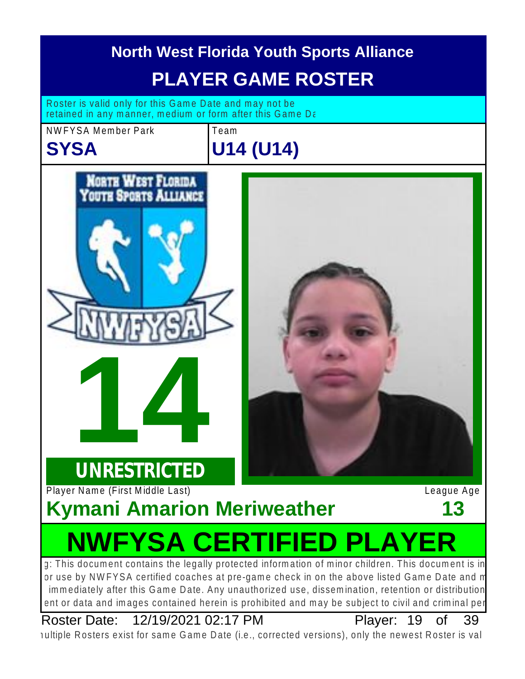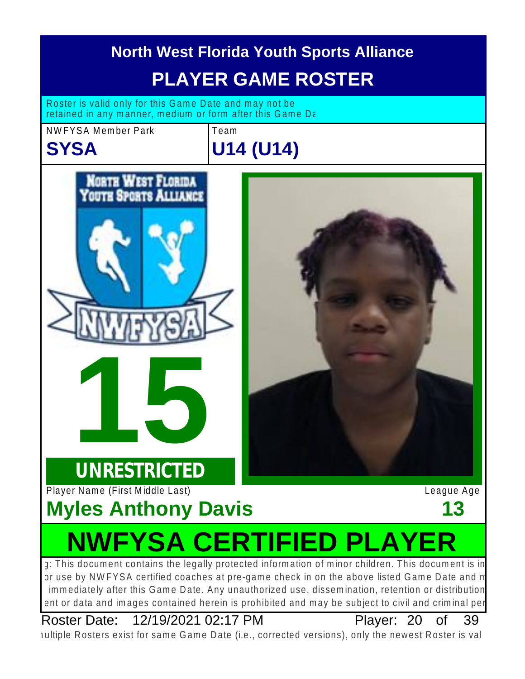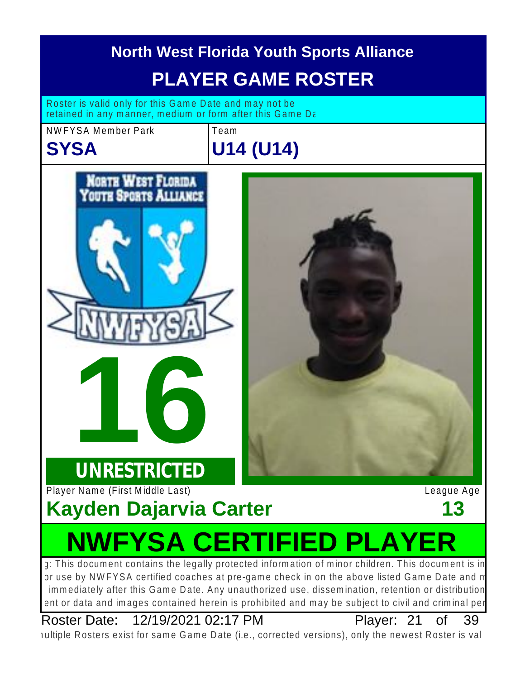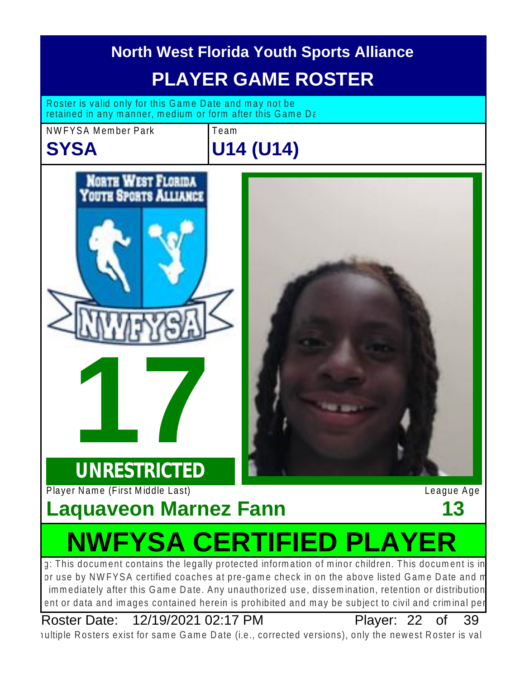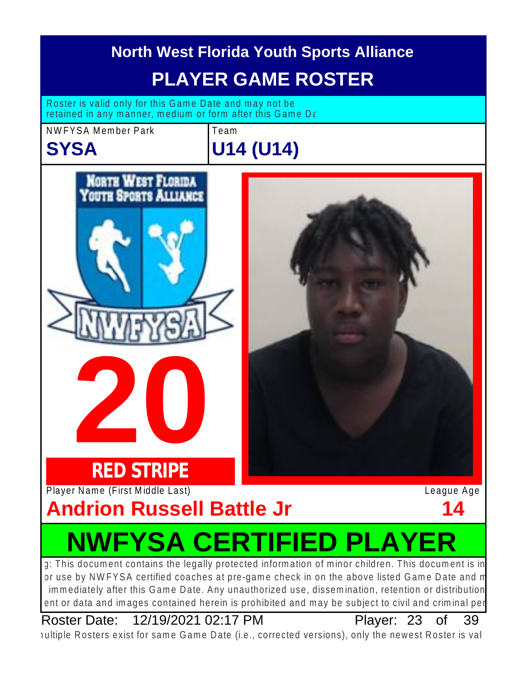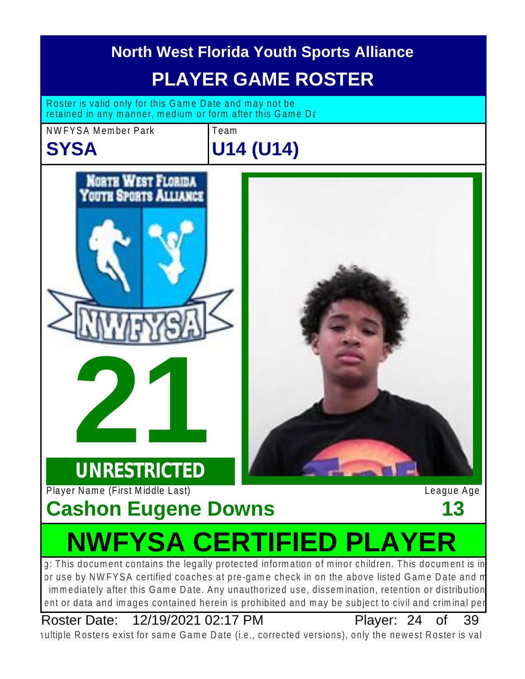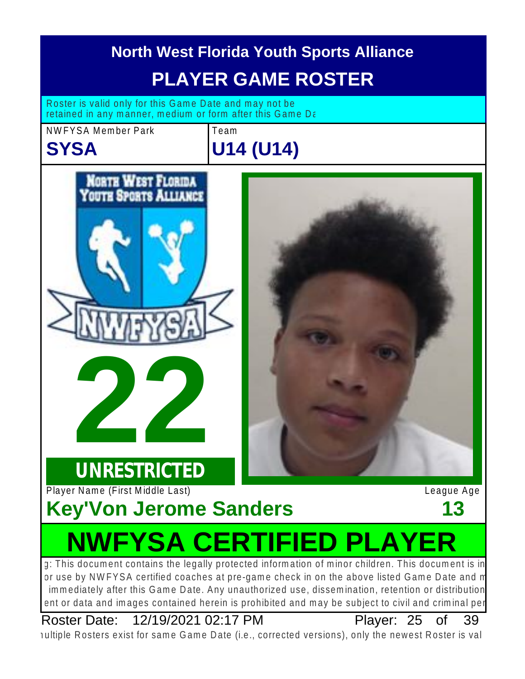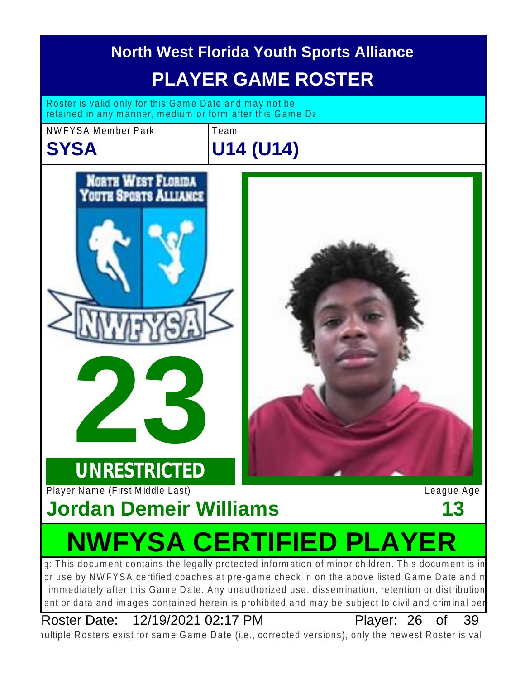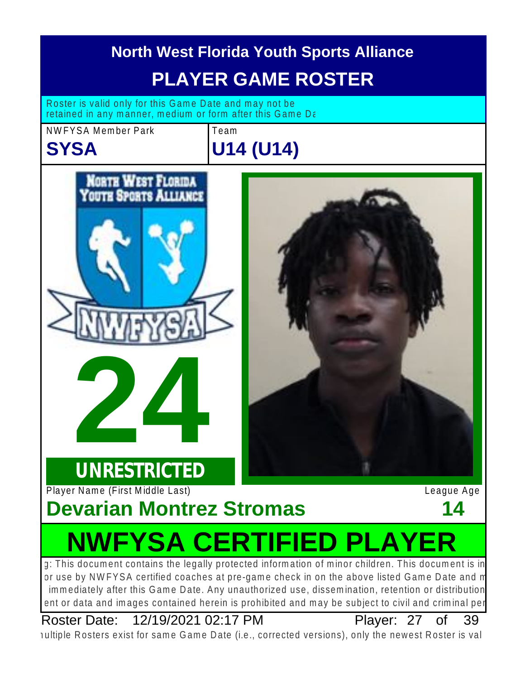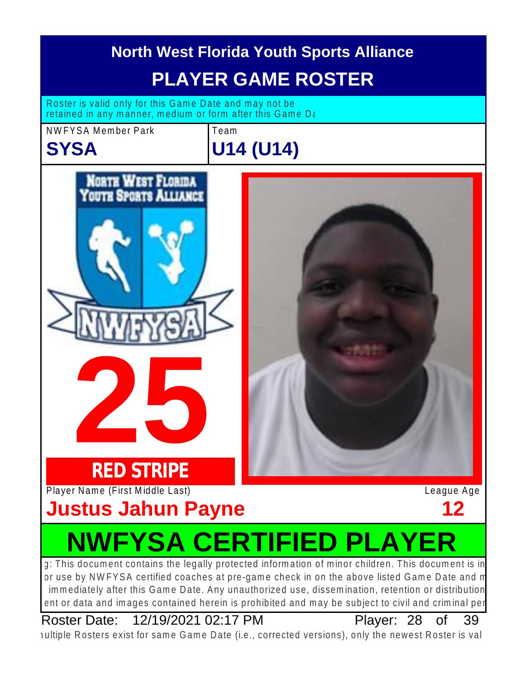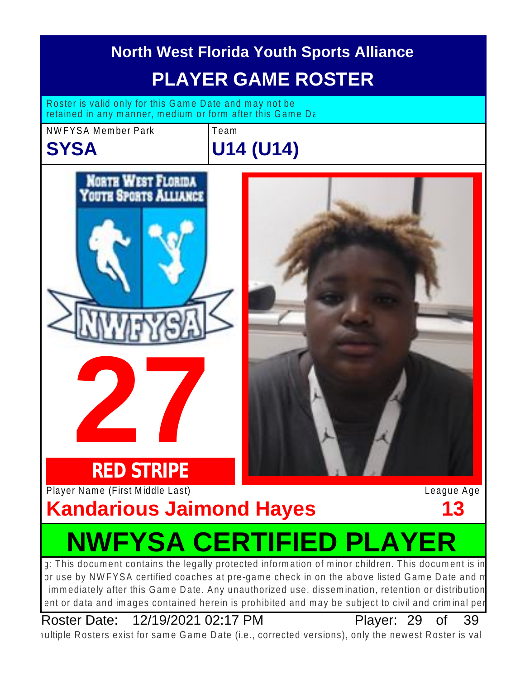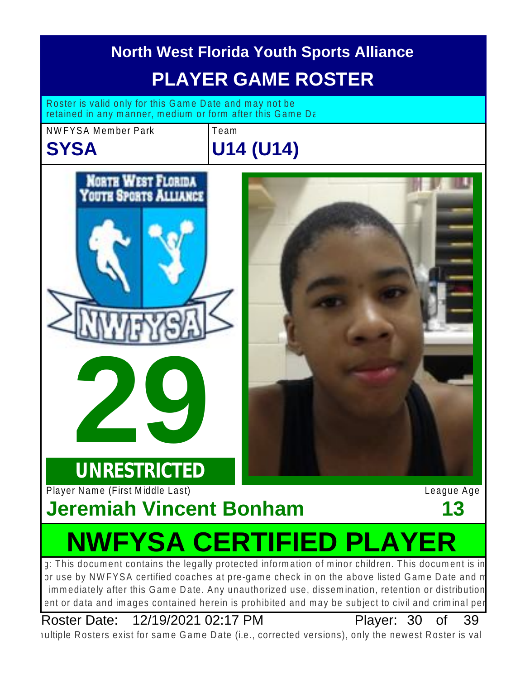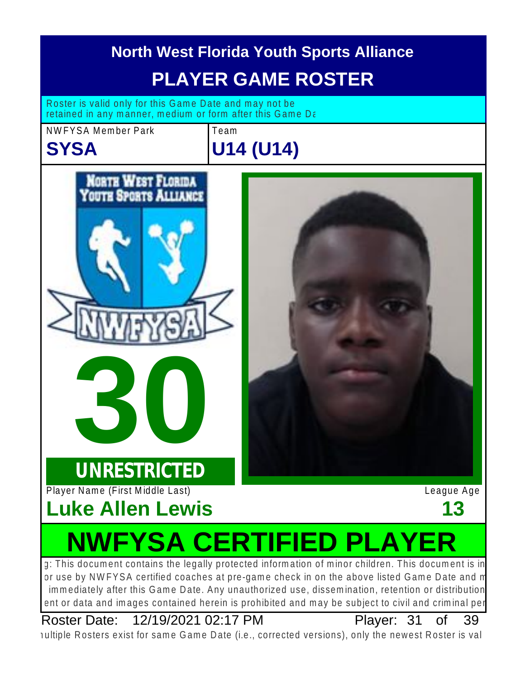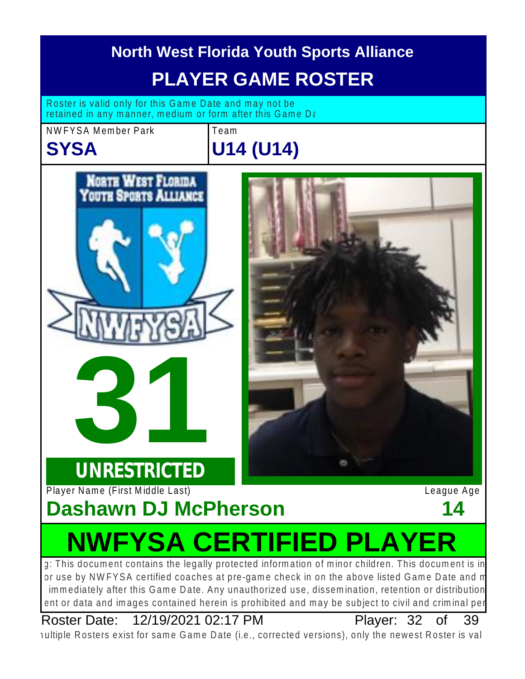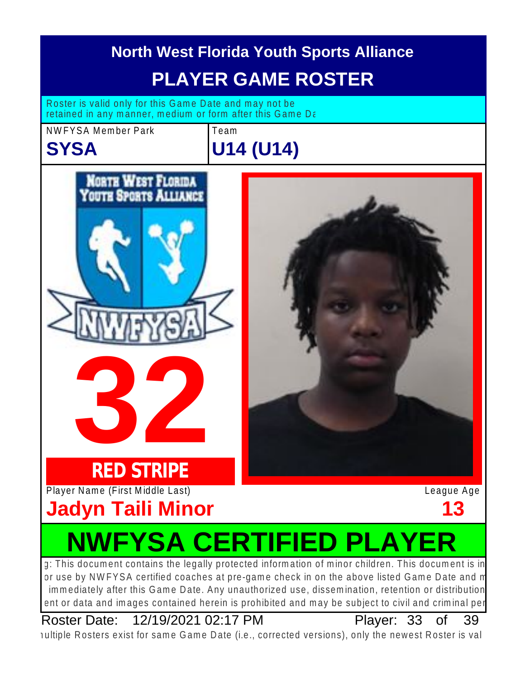

Roster Date: 12/19/2021 02:17 PM Player: 33 of 39

Plaver: 33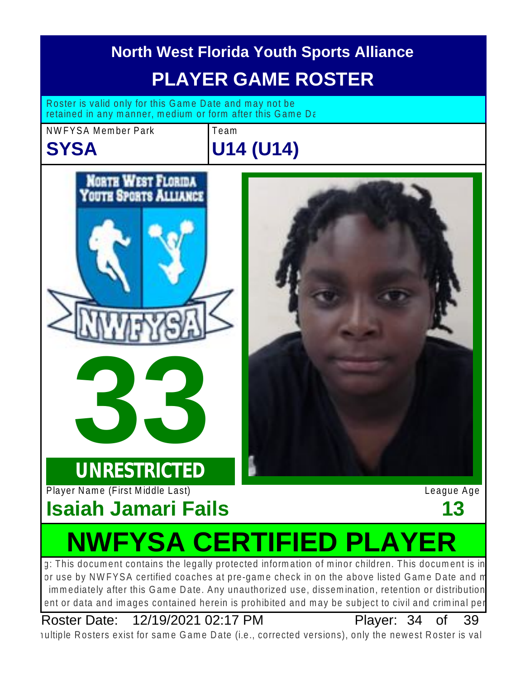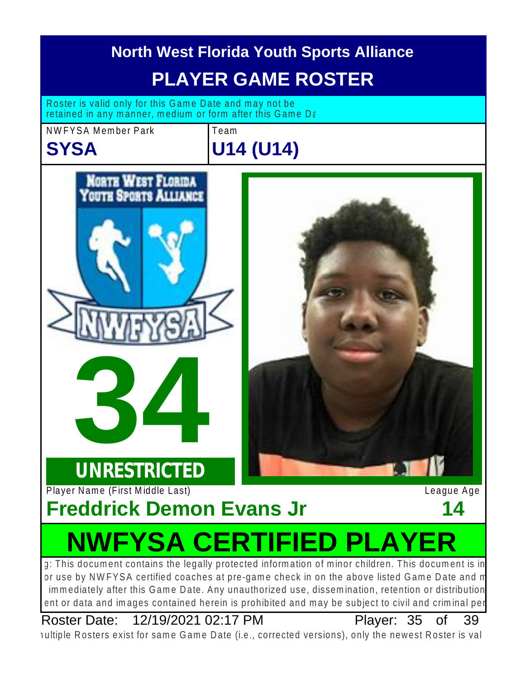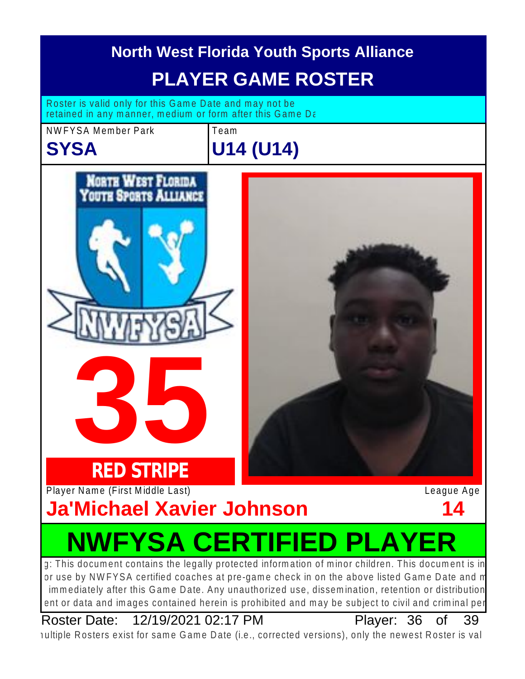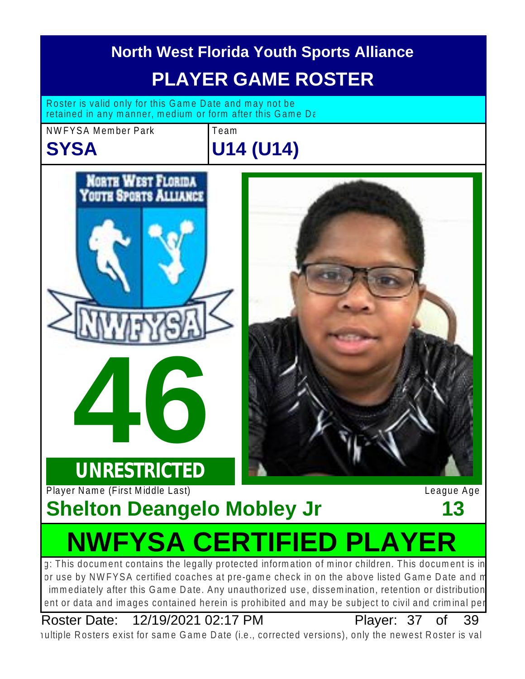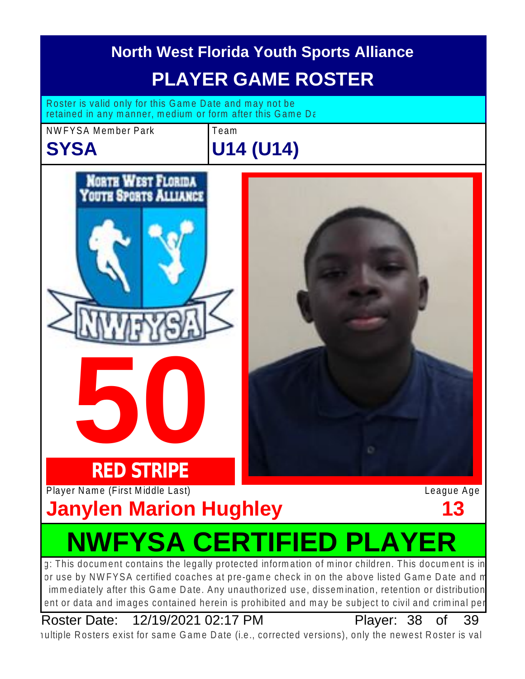